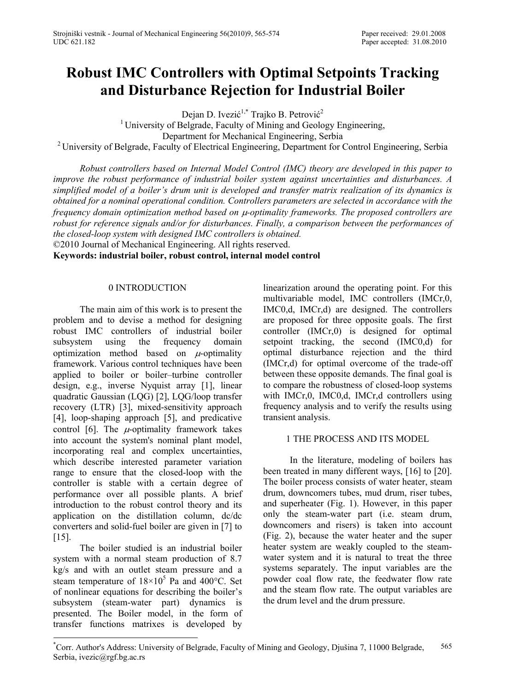# **Robust IMC Controllers with Optimal Setpoints Tracking and Disturbance Rejection for Industrial Boiler**

Dejan D. Ivezić<sup>1,\*</sup> Trajko B. Petrović<sup>2</sup>

<sup>1</sup> University of Belgrade, Faculty of Mining and Geology Engineering, Department for Mechanical Engineering, Serbia <sup>2</sup> University of Belgrade, Faculty of Electrical Engineering, Department for Control Engineering, Serbia

*Robust controllers based on Internal Model Control (IMC) theory are developed in this paper to improve the robust performance of industrial boiler system against uncertainties and disturbances. A simplified model of a boiler's drum unit is developed and transfer matrix realization of its dynamics is obtained for a nominal operational condition. Controllers parameters are selected in accordance with the frequency domain optimization method based on µ-optimality frameworks. The proposed controllers are robust for reference signals and/or for disturbances. Finally, a comparison between the performances of the closed-loop system with designed IMC controllers is obtained.* 

©2010 Journal of Mechanical Engineering. All rights reserved.

**Keywords: industrial boiler, robust control, internal model control**

## 0 INTRODUCTION

The main aim of this work is to present the problem and to devise a method for designing robust IMC controllers of industrial boiler subsystem using the frequency domain optimization method based on  $\mu$ -optimality framework. Various control techniques have been applied to boiler or boiler–turbine controller design, e.g., inverse Nyquist array [1], linear quadratic Gaussian (LQG) [2], LQG/loop transfer recovery (LTR) [3], mixed-sensitivity approach [4], loop-shaping approach [5], and predicative control [6]. The  $\mu$ -optimality framework takes into account the system's nominal plant model, incorporating real and complex uncertainties, which describe interested parameter variation range to ensure that the closed-loop with the controller is stable with a certain degree of performance over all possible plants. A brief introduction to the robust control theory and its application on the distillation column, dc/dc converters and solid-fuel boiler are given in [7] to [15].

The boiler studied is an industrial boiler system with a normal steam production of 8.7 kg/s and with an outlet steam pressure and a steam temperature of  $18 \times 10^5$  Pa and 400°C. Set of nonlinear equations for describing the boiler's subsystem (steam-water part) dynamics is presented. The Boiler model, in the form of transfer functions matrixes is developed by

linearization around the operating point. For this multivariable model, IMC controllers (IMCr,0, IMC0,d, IMCr,d) are designed. The controllers are proposed for three opposite goals. The first controller (IMCr,0) is designed for optimal setpoint tracking, the second (IMC0,d) for optimal disturbance rejection and the third (IMCr,d) for optimal overcome of the trade-off between these opposite demands. The final goal is to compare the robustness of closed-loop systems with IMCr,0, IMC0,d, IMCr,d controllers using frequency analysis and to verify the results using transient analysis.

# 1 THE PROCESS AND ITS MODEL

In the literature, modeling of boilers has been treated in many different ways, [16] to [20]. The boiler process consists of water heater, steam drum, downcomers tubes, mud drum, riser tubes, and superheater (Fig. 1). However, in this paper only the steam-water part (i.e. steam drum, downcomers and risers) is taken into account (Fig. 2), because the water heater and the super heater system are weakly coupled to the steamwater system and it is natural to treat the three systems separately. The input variables are the powder coal flow rate, the feedwater flow rate and the steam flow rate. The output variables are the drum level and the drum pressure.

<sup>\*</sup> Corr. Author's Address: University of Belgrade, Faculty of Mining and Geology, Djušina 7, 11000 Belgrade, Serbia, ivezic@rgf.bg.ac.rs 565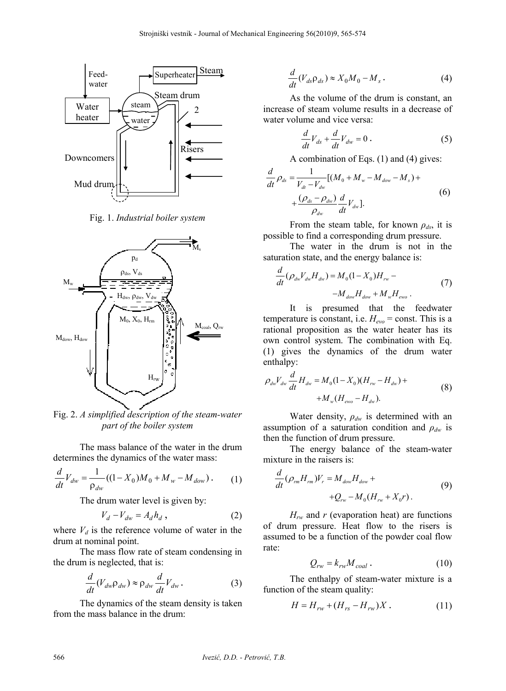

Fig. 1. *Industrial boiler system* 



Fig. 2. *A simplified description of the steam-water part of the boiler system* 

The mass balance of the water in the drum determines the dynamics of the water mass:

$$
\frac{d}{dt}V_{dw} = \frac{1}{\rho_{dw}}((1 - X_0)M_0 + M_w - M_{dow}).
$$
 (1)

The drum water level is given by:

$$
V_d - V_{dw} = A_d h_d \t{,} \t(2)
$$

where  $V_d$  is the reference volume of water in the drum at nominal point.

The mass flow rate of steam condensing in the drum is neglected, that is:

$$
\frac{d}{dt}(V_{dw}\rho_{dw}) \approx \rho_{dw}\frac{d}{dt}V_{dw}.
$$
 (3)

The dynamics of the steam density is taken from the mass balance in the drum:

$$
\frac{d}{dt}(V_{ds}\rho_{ds}) \approx X_0 M_0 - M_s \,. \tag{4}
$$

As the volume of the drum is constant, an increase of steam volume results in a decrease of water volume and vice versa:

$$
\frac{d}{dt}V_{ds} + \frac{d}{dt}V_{dw} = 0.
$$
 (5)

A combination of Eqs. (1) and (4) gives:

$$
\frac{d}{dt}\rho_{ds} = \frac{1}{V_{dt} - V_{dw}}[(M_0 + M_w - M_{dow} - M_s) + \\ + \frac{(\rho_{ds} - \rho_{dw})}{\rho_{dw}} \frac{d}{dt}V_{dw}].
$$
\n(6)

From the steam table, for known *ρds*, it is possible to find a corresponding drum pressure.

The water in the drum is not in the saturation state, and the energy balance is:

$$
\frac{d}{dt}(\rho_{dw}V_{dw}H_{dw}) = M_0(1 - X_0)H_{rw} - M_{dw}H_{dw} + M_wH_{ewo}.
$$
\n(7)

It is presumed that the feedwater temperature is constant, i.e.  $H_{evo}$  = const. This is a rational proposition as the water heater has its own control system. The combination with Eq. (1) gives the dynamics of the drum water enthalpy:

$$
\rho_{dw} V_{dw} \frac{d}{dt} H_{dw} = M_0 (1 - X_0)(H_{rw} - H_{dw}) + M_w (H_{ewo} - H_{dw}).
$$
\n(8)

Water density, *ρdw* is determined with an assumption of a saturation condition and *ρdw* is then the function of drum pressure.

The energy balance of the steam-water mixture in the raisers is:

$$
\frac{d}{dt}(\rho_{rm}H_{rm})V_r = M_{dow}H_{dow} ++Q_{rw} - M_0(H_{rw} + X_0r).
$$
\n(9)

*Hrw* and *r* (evaporation heat) are functions of drum pressure. Heat flow to the risers is assumed to be a function of the powder coal flow rate:

$$
Q_{rw} = k_{rw} M_{coal} \tag{10}
$$

The enthalpy of steam-water mixture is a function of the steam quality:

$$
H = H_{rw} + (H_{rs} - H_{rw})X.
$$
 (11)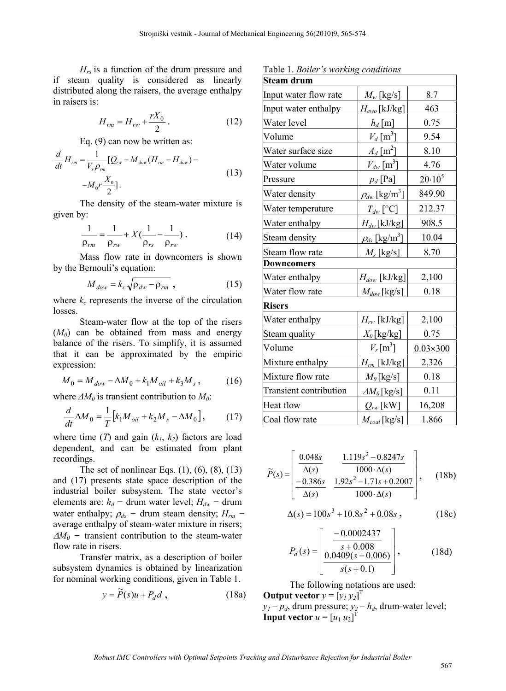*Hrs* is a function of the drum pressure and if steam quality is considered as linearly distributed along the raisers, the average enthalpy in raisers is:

$$
H_{rm} = H_{rw} + \frac{rX_0}{2} \,. \tag{12}
$$

Eq. (9) can now be written as:

$$
\frac{d}{dt}H_{rm} = \frac{1}{V_{r}\rho_{rm}}[Q_{rw} - M_{dow}(H_{rm} - H_{dow}) - M_{0}r\frac{X_{0}}{2}].
$$
\n(13)

The density of the steam-water mixture is given by:

$$
\frac{1}{\rho_{rm}} = \frac{1}{\rho_{rw}} + X(\frac{1}{\rho_{rs}} - \frac{1}{\rho_{rw}}). \tag{14}
$$

Mass flow rate in downcomers is shown by the Bernouli's equation:

$$
M_{dow} = k_c \sqrt{\rho_{dw} - \rho_{rm}}, \qquad (15)
$$

where  $k_c$  represents the inverse of the circulation losses.

Steam-water flow at the top of the risers (*M0*) can be obtained from mass and energy balance of the risers. To simplify, it is assumed that it can be approximated by the empiric expression:

$$
M_0 = M_{dow} - \Delta M_0 + k_1 M_{oil} + k_3 M_s, \qquad (16)
$$

where  $\Delta M_0$  is transient contribution to  $M_0$ :

$$
\frac{d}{dt}\Delta M_0 = \frac{1}{T} \left[ k_1 M_{oil} + k_2 M_s - \Delta M_0 \right],
$$
 (17)

where time  $(T)$  and gain  $(k_1, k_2)$  factors are load dependent, and can be estimated from plant recordings.

The set of nonlinear Eqs.  $(1)$ ,  $(6)$ ,  $(8)$ ,  $(13)$ and (17) presents state space description of the industrial boiler subsystem. The state vector's elements are:  $h_d$  – drum water level;  $H_{dw}$  – drum water enthalpy;  $\rho_{ds}$  – drum steam density;  $H_{rm}$  – average enthalpy of steam-water mixture in risers;  $\Delta M_0$  – transient contribution to the steam-water flow rate in risers.

Transfer matrix, as a description of boiler subsystem dynamics is obtained by linearization for nominal working conditions, given in Table 1.

$$
y = \widetilde{P}(s)u + P_d d \t{,} \t(18a)
$$

Table 1. *Boiler's working conditions*

| <b>Steam drum</b>             |                                                |                   |  |
|-------------------------------|------------------------------------------------|-------------------|--|
| Input water flow rate         | $M_w$ [kg/s]                                   | 8.7               |  |
| Input water enthalpy          | $H_{ewo}$ [kJ/kg]                              | 463               |  |
| Water level                   | $h_d$ [m]                                      | 0.75              |  |
| Volume                        | $V_d$ [m <sup>3</sup> ]                        | 9.54              |  |
| Water surface size            | $A_d$ [m <sup>2</sup> ]                        | 8.10              |  |
| Water volume                  | $V_{dw}$ [m <sup>3</sup> ]                     | 4.76              |  |
| Pressure                      | $p_d$ [Pa]                                     | $20.10^{5}$       |  |
| Water density                 | $\rho_{\scriptscriptstyle{dw}}\,[\rm{kg/m^3}]$ | 849.90            |  |
| Water temperature             | $T_{dw}$ [°C]                                  | 212.37            |  |
| Water enthalpy                | $H_{dw}$ [kJ/kg]                               | 908.5             |  |
| Steam density                 | $\rho_{\rm ds} \, [{\rm kg/m^3}]$              | 10.04             |  |
| Steam flow rate               | $M_s$ [kg/s]                                   | 8.70              |  |
| <b>Downcomers</b>             |                                                |                   |  |
| Water enthalpy                | $H_{dow}$ [kJ/kg]                              | 2,100             |  |
| Water flow rate               | $M_{dow}$ [kg/s]                               | 0.18              |  |
| <b>Risers</b>                 |                                                |                   |  |
| Water enthalpy                | $H_{rw}$ [kJ/kg]                               | 2,100             |  |
| Steam quality                 | $X_0$ [kg/kg]                                  | 0.75              |  |
| Volume                        | $V_r$ [m <sup>3</sup> ]                        | $0.03 \times 300$ |  |
| Mixture enthalpy              | $H_{rm}$ [kJ/kg]                               | 2,326             |  |
| Mixture flow rate             | $M_0$ [kg/s]                                   | 0.18              |  |
| <b>Transient contribution</b> | $\Delta M_0$ [kg/s]                            | 0.11              |  |
| Heat flow                     | $Q_{rw}$ [kW]                                  | 16,208            |  |
| Coal flow rate                | $M_{coal}$ [kg/s]                              | 1.866             |  |

$$
\widetilde{P}(s) = \begin{bmatrix} \frac{0.048s}{\Delta(s)} & \frac{1.119s^2 - 0.8247s}{1000 \cdot \Delta(s)}\\ -\frac{0.386s}{\Delta(s)} & \frac{1.92s^2 - 1.71s + 0.2007}{1000 \cdot \Delta(s)} \end{bmatrix}, \quad (18b)
$$

$$
\Delta(s) = 100s^3 + 10.8s^2 + 0.08s, \qquad (18c)
$$

$$
P_d(s) = \left[\frac{\frac{-0.0002437}{s + 0.008}}{0.0409(s - 0.006)}\right],
$$
 (18d)

The following notations are used:

**Output vector**  $y = [y_1 y_2]^T$  $y_1 - p_d$ , drum pressure;  $y_2 - h_d$ , drum-water level; **Input vector**  $u = [u_1 u_2]^T$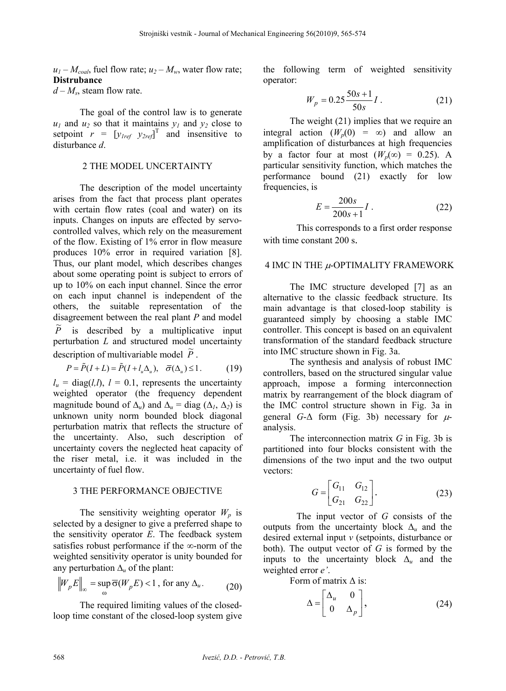$u_1 - M_{coal}$ , fuel flow rate;  $u_2 - M_w$ , water flow rate; **Distrubance** 

 $d - M_s$ , steam flow rate.

The goal of the control law is to generate  $u_1$  and  $u_2$  so that it maintains  $y_1$  and  $y_2$  close to setpoint  $r = [y_{1ref} \ y_{2ref}]^T$  and insensitive to disturbance *d*.

### 2 THE MODEL UNCERTAINTY

The description of the model uncertainty arises from the fact that process plant operates with certain flow rates (coal and water) on its inputs. Changes on inputs are effected by servocontrolled valves, which rely on the measurement of the flow. Existing of 1% error in flow measure produces 10% error in required variation [8]. Thus, our plant model, which describes changes about some operating point is subject to errors of up to 10% on each input channel. Since the error on each input channel is independent of the others, the suitable representation of the disagreement between the real plant *P* and model *P* is described by a multiplicative input perturbation *L* and structured model uncertainty  $\alpha$  . The matrix of multivariable model  $\tilde{P}$ .

$$
P = \tilde{P}(I + L) = \tilde{P}(I + l_u \Delta_u), \quad \bar{\sigma}(\Delta_u) \le 1.
$$
 (19)

 $l_u$  = diag(*l, l*),  $l = 0.1$ , represents the uncertainty weighted operator (the frequency dependent magnitude bound of  $\Delta_u$ ) and  $\Delta_u$  = diag ( $\Delta_l$ ,  $\Delta_2$ ) is unknown unity norm bounded block diagonal perturbation matrix that reflects the structure of the uncertainty. Also, such description of uncertainty covers the neglected heat capacity of the riser metal, i.e. it was included in the uncertainty of fuel flow.

## 3 THE PERFORMANCE OBJECTIVE

The sensitivity weighting operator  $W_p$  is selected by a designer to give a preferred shape to the sensitivity operator *E*. The feedback system satisfies robust performance if the  $\infty$ -norm of the weighted sensitivity operator is unity bounded for any perturbation  $\Delta_u$  of the plant:

$$
\left\|W_{p}E\right\|_{\infty} = \sup_{\omega} \overline{\sigma}(W_{p}E) < 1 \text{, for any } \Delta_{u}. \tag{20}
$$

The required limiting values of the closedloop time constant of the closed-loop system give the following term of weighted sensitivity operator:

$$
W_p = 0.25 \frac{50s + 1}{50s} I.
$$
 (21)

The weight (21) implies that we require an integral action  $(W_p(0) = \infty)$  and allow an amplification of disturbances at high frequencies by a factor four at most  $(W_p(\infty) = 0.25)$ . A particular sensitivity function, which matches the performance bound (21) exactly for low frequencies, is

$$
E = \frac{200s}{200s + 1} I
$$
 (22)

This corresponds to a first order response with time constant 200 s.

## 4 IMC IN THE  $\mu$ -OPTIMALITY FRAMEWORK

The IMC structure developed [7] as an alternative to the classic feedback structure. Its main advantage is that closed-loop stability is guaranteed simply by choosing a stable IMC controller. This concept is based on an equivalent transformation of the standard feedback structure into IMC structure shown in Fig. 3a.

The synthesis and analysis of robust IMC controllers, based on the structured singular value approach, impose a forming interconnection matrix by rearrangement of the block diagram of the IMC control structure shown in Fig. 3a in general *G*- $\Delta$  form (Fig. 3b) necessary for  $\mu$ analysis.

The interconnection matrix *G* in Fig. 3b is partitioned into four blocks consistent with the dimensions of the two input and the two output vectors:

$$
G = \begin{bmatrix} G_{11} & G_{12} \\ G_{21} & G_{22} \end{bmatrix} .
$$
 (23)

The input vector of *G* consists of the outputs from the uncertainty block  $\Delta$ <sub>*u*</sub> and the desired external input *v* (setpoints, disturbance or both). The output vector of *G* is formed by the inputs to the uncertainty block  $\Delta$ <sub>*u*</sub> and the weighted error *e'*.

Form of matrix Δ is:

$$
\Delta = \begin{bmatrix} \Delta_u & 0 \\ 0 & \Delta_p \end{bmatrix}, \tag{24}
$$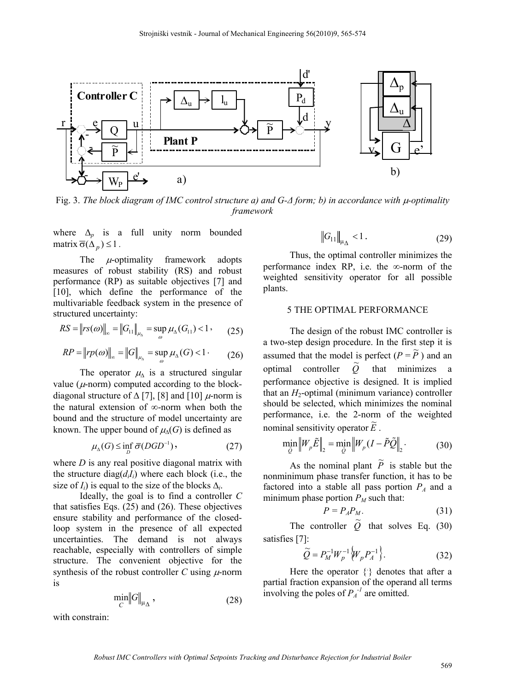

Fig. 3. *The block diagram of IMC control structure a) and G-Δ form; b) in accordance with -optimality framework*

where  $\Delta$ <sub>*p*</sub> is a full unity norm bounded matrix  $\overline{\sigma}(\Delta_n) \leq 1$ .

The  $\mu$ -optimality framework adopts measures of robust stability (RS) and robust performance (RP) as suitable objectives [7] and [10], which define the performance of the multivariable feedback system in the presence of structured uncertainty:

$$
RS = \|rs(\omega)\|_{\infty} = \|G_{11}\|_{\mu_{\Delta}} = \sup_{\omega} \mu_{\Delta}(G_{11}) < 1 \tag{25}
$$

$$
RP = ||rp(\omega)||_{\infty} = ||G||_{\mu_{\Delta}} = \sup_{\omega} \mu_{\Delta}(G) < 1 \tag{26}
$$

The operator  $\mu_{\Delta}$  is a structured singular value ( $\mu$ -norm) computed according to the blockdiagonal structure of  $\Delta$  [7], [8] and [10]  $\mu$ -norm is the natural extension of  $\infty$ -norm when both the bound and the structure of model uncertainty are known. The upper bound of  $\mu_{\Lambda}(G)$  is defined as

$$
\mu_{\Lambda}(G) \le \inf_{D} \overline{\sigma}(DGD^{-1}),\tag{27}
$$

where *D* is any real positive diagonal matrix with the structure  $diag(d_iI_i)$  where each block (i.e., the size of  $I_i$ ) is equal to the size of the blocks  $\Delta_i$ .

Ideally, the goal is to find a controller *C* that satisfies Eqs.  $(25)$  and  $(26)$ . These objectives ensure stability and performance of the closedloop system in the presence of all expected uncertainties. The demand is not always reachable, especially with controllers of simple structure. The convenient objective for the synthesis of the robust controller *C* using  $\mu$ -norm is

$$
\min_C \left\| G \right\|_{\mu_\Delta},\tag{28}
$$

with constrain:

$$
\|G_{11}\|_{\mu_{\Delta}} < 1. \tag{29}
$$

Thus, the optimal controller minimizes the performance index RP, i.e. the  $\infty$ -norm of the weighted sensitivity operator for all possible plants.

## 5 THE OPTIMAL PERFORMANCE

The design of the robust IMC controller is a two-step design procedure. In the first step it is assumed that the model is perfect  $(P = \tilde{P})$  and an optimal controller  $\tilde{O}$ that minimizes a performance objective is designed. It is implied that an  $H_2$ -optimal (minimum variance) controller should be selected, which minimizes the nominal performance, i.e. the 2-norm of the weighted nominal sensitivity operator  $\tilde{E}$ .

$$
\min_{\tilde{Q}} \left\| W_p \tilde{E} \right\|_2 = \min_{\tilde{Q}} \left\| W_p (I - \tilde{P} \tilde{Q} \right\|_2. \tag{30}
$$

As the nominal plant  $\tilde{P}$  is stable but the nonminimum phase transfer function, it has to be factored into a stable all pass portion  $P_A$  and a minimum phase portion  $P_M$  such that:

$$
P = P_A P_M. \tag{31}
$$

The controller  $\tilde{Q}$  that solves Eq. (30) satisfies [7]:

$$
\tilde{Q} = P_M^{-1} W_p^{-1} \{ W_p P_A^{-1} \}.
$$
 (32)

Here the operator  $\{\cdot\}$  denotes that after a partial fraction expansion of the operand all terms involving the poles of  $P_A^{-1}$  are omitted.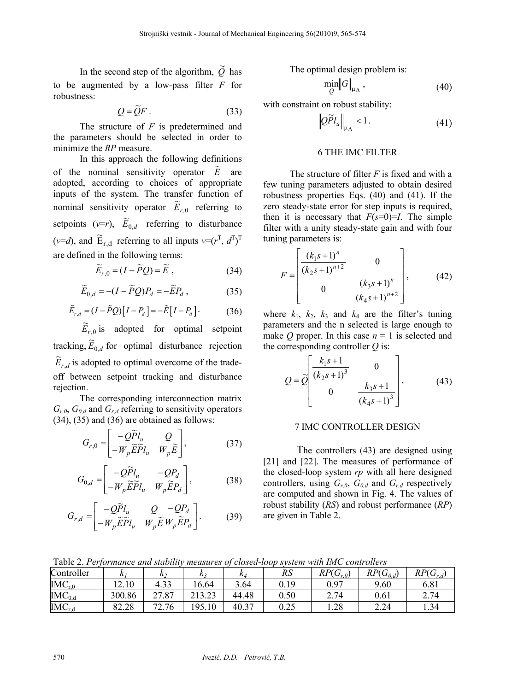In the second step of the algorithm,  $\tilde{Q}$  has to be augmented by a low-pass filter *F* for robustness:

$$
Q = \widetilde{Q}F \ . \tag{33}
$$

The structure of *F* is predetermined and the parameters should be selected in order to minimize the *RP* measure.

In this approach the following definitions of the nominal sensitivity operator  $\tilde{E}$  are adopted, according to choices of appropriate inputs of the system. The transfer function of nominal sensitivity operator  $E_{r,0}$  referring to setpoints ( $v=r$ ),  $\widetilde{E}_{0,d}$  referring to disturbance (*v*=*d*), and  $\widetilde{E}_{r,d}$  referring to all inputs  $v=(r^T, d^T)^T$ are defined in the following terms:

$$
\widetilde{E}_{r,0} = (I - \widetilde{P}Q) = \widetilde{E}, \qquad (34)
$$

$$
\widetilde{E}_{0,d} = -(I - \widetilde{P}Q)P_d = -\widetilde{E}P_d ,\qquad (35)
$$

$$
\tilde{E}_{r,d} = (I - \tilde{P}Q)\left[I - P_d\right] = -\tilde{E}\left[I - P_d\right].\tag{36}
$$

,0  $\widetilde{E}_{r,0}$  is adopted for optimal setpoint tracking,  $\widetilde{E}_{0,d}$  for optimal disturbance rejection  $\widetilde{E}_{r,d}$  is adopted to optimal overcome of the tradeoff between setpoint tracking and disturbance rejection.

The corresponding interconnection matrix  $G_{r,0}$ ,  $G_{0,d}$  and  $G_{r,d}$  referring to sensitivity operators (34), (35) and (36) are obtained as follows:

$$
G_{r,0} = \begin{bmatrix} -Q\widetilde{P}l_u & Q \\ -W_p\widetilde{E}\widetilde{P}l_u & W_p\widetilde{E} \end{bmatrix},
$$
(37)

$$
G_{0,d} = \begin{bmatrix} -Q\widetilde{P}l_u & -QP_d \\ -W_p\widetilde{E}\widetilde{P}l_u & W_p\widetilde{E}P_d \end{bmatrix},
$$
(38)

$$
G_{r,d} = \begin{bmatrix} -Q\widetilde{P}l_u & Q & -QP_d \\ -W_p\widetilde{E}\widetilde{P}l_u & W_p\widetilde{E}W_p\widetilde{E}P_d \end{bmatrix}.
$$
 (39)

The optimal design problem is:

$$
\min_{Q} \left\| G \right\|_{\mu_{\Delta}},\tag{40}
$$

with constraint on robust stability:

$$
\left| \mathcal{Q} \widetilde{P} l_u \right|_{\mu_\Delta} < 1. \tag{41}
$$

### 6 THE IMC FILTER

The structure of filter *F* is fixed and with a few tuning parameters adjusted to obtain desired robustness properties Eqs. (40) and (41). If the zero steady-state error for step inputs is required, then it is necessary that  $F(s=0)=I$ . The simple filter with a unity steady-state gain and with four tuning parameters is:

$$
F = \begin{bmatrix} \frac{(k_1s + 1)^n}{(k_2s + 1)^{n+2}} & 0\\ 0 & \frac{(k_3s + 1)^n}{(k_4s + 1)^{n+2}} \end{bmatrix},
$$
(42)

where  $k_1$ ,  $k_2$ ,  $k_3$  and  $k_4$  are the filter's tuning parameters and the n selected is large enough to make *Q* proper. In this case  $n = 1$  is selected and the corresponding controller *Q* is:

$$
Q = \widetilde{Q} \begin{bmatrix} \frac{k_1 s + 1}{(k_2 s + 1)^3} & 0\\ 0 & \frac{k_3 s + 1}{(k_4 s + 1)^3} \end{bmatrix} .
$$
 (43)

### 7 IMC CONTROLLER DESIGN

The controllers (43) are designed using [21] and [22]. The measures of performance of the closed-loop system *rp* with all here designed controllers, using  $G_{r,0}$ ,  $G_{0,d}$  and  $G_{r,d}$  respectively are computed and shown in Fig. 4. The values of robust stability (*RS*) and robust performance (*RP*) are given in Table 2.

Table 2. *Performance and stability measures of closed-loop system with IMC controllers*

| Controller  |        | n 1        |        | $\mathbf{r}$ | RS        | RP(G)<br>$(\mathbf{U}_{r,0})$ | $RP(G_{0,d})$ | $RP(G_{r,d})$ |
|-------------|--------|------------|--------|--------------|-----------|-------------------------------|---------------|---------------|
| $IMC_{r,0}$ | 12.10  | 4.33       | 16.64  | 3.64         | 0.19      | 0.97                          | 9.60          | 6.81          |
| $IMC_{0,d}$ | 300.86 | 27.87      | 213.23 | 44.48        | $_{0.50}$ | 2.74                          | 0.61          | 2.74          |
| $IMC_{r,d}$ | 82.28  | 2.76<br>72 | 195.10 | 40.37        | 0.25      | 1.28                          | 2.24          | 1.34          |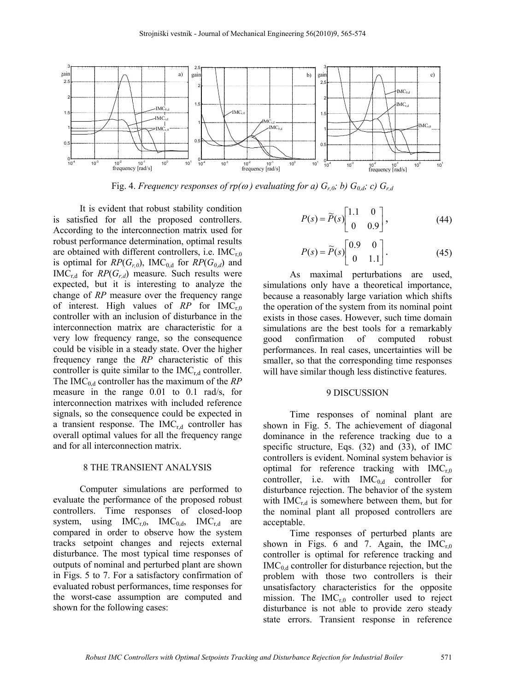

Fig. 4. *Frequency responses of rp(* $\omega$ *) evaluating for a)*  $G_{r,0}$ ; *b)*  $G_{0,d}$ ; *c)*  $G_{r,d}$ 

It is evident that robust stability condition is satisfied for all the proposed controllers. According to the interconnection matrix used for robust performance determination, optimal results are obtained with different controllers, i.e.  $IMC_{r0}$ is optimal for  $RP(G_{r,0})$ , IMC<sub>0,d</sub> for  $RP(G_{0,d})$  and  $IMC_{rd}$  for  $RP(G_{rd})$  measure. Such results were expected, but it is interesting to analyze the change of *RP* measure over the frequency range of interest. High values of RP for IMC<sub>r0</sub> controller with an inclusion of disturbance in the interconnection matrix are characteristic for a very low frequency range, so the consequence could be visible in a steady state. Over the higher frequency range the *RP* characteristic of this controller is quite similar to the  $IMC_{rd}$  controller. The IMC<sub>0,d</sub> controller has the maximum of the *RP* measure in the range 0.01 to 0.1 rad/s, for interconnection matrixes with included reference signals, so the consequence could be expected in a transient response. The  $IMC_{r,d}$  controller has overall optimal values for all the frequency range and for all interconnection matrix.

#### 8 THE TRANSIENT ANALYSIS

Computer simulations are performed to evaluate the performance of the proposed robust controllers. Time responses of closed-loop system, using  $IMC_{r,0}$ ,  $IMC_{0,d}$ ,  $IMC_{r,d}$  are compared in order to observe how the system tracks setpoint changes and rejects external disturbance. The most typical time responses of outputs of nominal and perturbed plant are shown in Figs. 5 to 7. For a satisfactory confirmation of evaluated robust performances, time responses for the worst-case assumption are computed and shown for the following cases:

$$
P(s) = \widetilde{P}(s) \begin{bmatrix} 1.1 & 0 \\ 0 & 0.9 \end{bmatrix},
$$
 (44)

$$
P(s) = \widetilde{P}(s) \begin{bmatrix} 0.9 & 0 \\ 0 & 1.1 \end{bmatrix}.
$$
 (45)

As maximal perturbations are used, simulations only have a theoretical importance, because a reasonably large variation which shifts the operation of the system from its nominal point exists in those cases. However, such time domain simulations are the best tools for a remarkably good confirmation of computed robust performances. In real cases, uncertainties will be smaller, so that the corresponding time responses will have similar though less distinctive features.

#### 9 DISCUSSION

Time responses of nominal plant are shown in Fig. 5. The achievement of diagonal dominance in the reference tracking due to a specific structure, Eqs. (32) and (33), of IMC controllers is evident. Nominal system behavior is optimal for reference tracking with  $IMC_{r,0}$ controller, i.e. with  $IMC_{0,d}$  controller for disturbance rejection. The behavior of the system with  $IMC_{r,d}$  is somewhere between them, but for the nominal plant all proposed controllers are acceptable.

Time responses of perturbed plants are shown in Figs. 6 and 7. Again, the  $IMC_{r0}$ controller is optimal for reference tracking and  $IMC<sub>0,d</sub>$  controller for disturbance rejection, but the problem with those two controllers is their unsatisfactory characteristics for the opposite mission. The  $IMC_{r0}$  controller used to reject disturbance is not able to provide zero steady state errors. Transient response in reference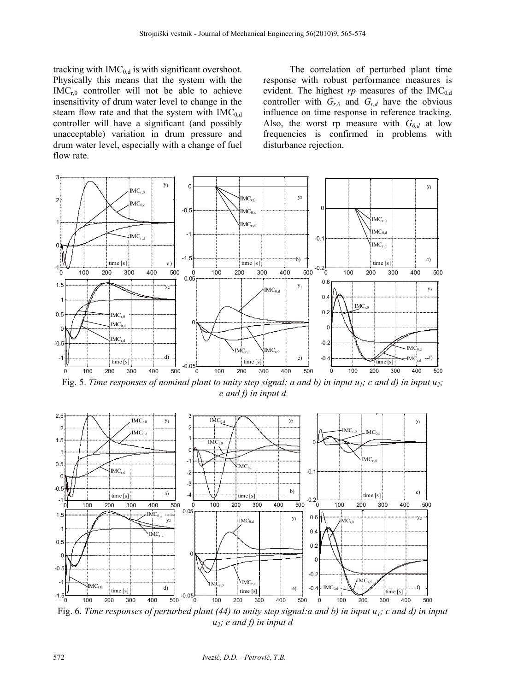tracking with  $IMC_{0,d}$  is with significant overshoot. Physically this means that the system with the  $IMC_{r0}$  controller will not be able to achieve insensitivity of drum water level to change in the steam flow rate and that the system with  $IMC_{0,d}$ controller will have a significant (and possibly unacceptable) variation in drum pressure and drum water level, especially with a change of fuel flow rate.

The correlation of perturbed plant time response with robust performance measures is evident. The highest  $rp$  measures of the IMC<sub>0 d</sub> controller with  $G_{r,0}$  and  $G_{r,d}$  have the obvious influence on time response in reference tracking. Also, the worst rp measure with  $G_{0,d}$  at low frequencies is confirmed in problems with disturbance rejection.



Fig. 5. *Time responses of nominal plant to unity step signal: a and b) in input u<sub>1</sub>; c and d) in input u<sub>2</sub>; e and f) in input d* 



Fig. 6. *Time responses of perturbed plant (44) to unity step signal:a and b) in input*  $u_1$ *; c and d) in input u2; e and f) in input d*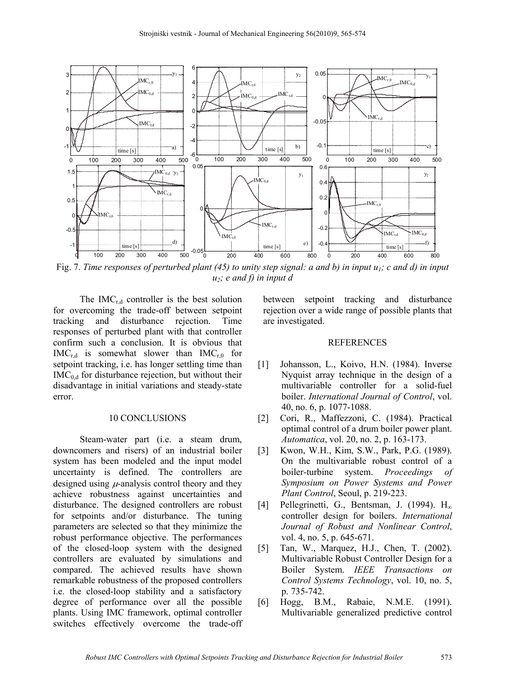

Fig. 7. *Time responses of perturbed plant (45) to unity step signal: a and b) in input u<sub>1</sub>; c and d) in input u2; e and f) in input d*

The IMC $_{rd}$  controller is the best solution for overcoming the trade-off between setpoint tracking and disturbance rejection. Time responses of perturbed plant with that controller confirm such a conclusion. It is obvious that  $IMC_{r,d}$  is somewhat slower than  $IMC_{r,0}$  for setpoint tracking, i.e. has longer settling time than  $IMC<sub>0 d</sub>$  for disturbance rejection, but without their disadvantage in initial variations and steady-state error.

### 10 CONCLUSIONS

Steam-water part (i.e. a steam drum, downcomers and risers) of an industrial boiler system has been modeled and the input model uncertainty is defined. The controllers are designed using  $\mu$ -analysis control theory and they achieve robustness against uncertainties and disturbance. The designed controllers are robust for setpoints and/or disturbance. The tuning parameters are selected so that they minimize the robust performance objective. The performances of the closed-loop system with the designed controllers are evaluated by simulations and compared. The achieved results have shown remarkable robustness of the proposed controllers i.e. the closed-loop stability and a satisfactory degree of performance over all the possible plants. Using IMC framework, optimal controller switches effectively overcome the trade-off between setpoint tracking and disturbance rejection over a wide range of possible plants that are investigated.

#### REFERENCES

- [1] Johansson, L., Koivo, H.N. (1984). Inverse Nyquist array technique in the design of a multivariable controller for a solid-fuel boiler. *International Journal of Control*, vol. 40, no. 6, p. 1077-1088.
- [2] Cori, R., Maffezzoni, C. (1984). Practical optimal control of a drum boiler power plant. *Automatica*, vol. 20, no. 2, p. 163-173.
- [3] Kwon, W.H., Kim, S.W., Park, P.G. (1989). On the multivariable robust control of a boiler-turbine system. *Proceedings of Symposium on Power Systems and Power Plant Control*, Seoul, p. 219-223.
- [4] Pellegrinetti, G., Bentsman, J. (1994).  $H_{\infty}$ controller design for boilers. *International Journal of Robust and Nonlinear Control*, vol. 4, no. 5, p. 645-671.
- [5] Tan, W., Marquez, H.J., Chen, T. (2002). Multivariable Robust Controller Design for a Boiler System. *IEEE Transactions on Control Systems Technology*, vol. 10, no. 5, p. 735-742.
- [6] Hogg, B.M., Rabaie, N.M.E. (1991). Multivariable generalized predictive control